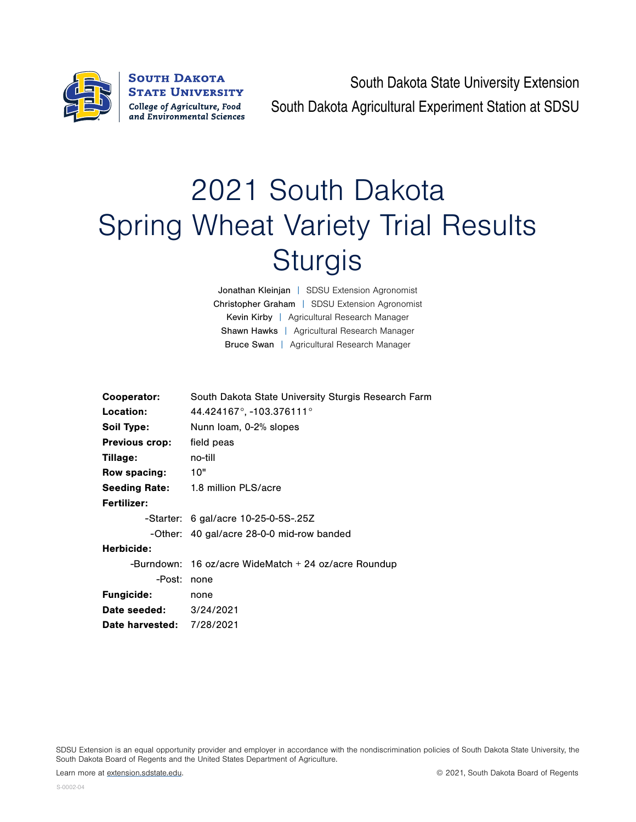

**SOUTH DAKOTA STATE UNIVERSITY** College of Agriculture, Food and Environmental Sciences

South Dakota State University Extension South Dakota Agricultural Experiment Station at SDSU

## 2021 South Dakota Spring Wheat Variety Trial Results **Sturgis**

Jonathan Kleinjan | SDSU Extension Agronomist Christopher Graham | SDSU Extension Agronomist Kevin Kirby | Agricultural Research Manager Shawn Hawks | Agricultural Research Manager Bruce Swan | Agricultural Research Manager

| Cooperator:                      | South Dakota State University Sturgis Research Farm    |  |  |  |  |  |
|----------------------------------|--------------------------------------------------------|--|--|--|--|--|
| Location:                        | 44.424167°, -103.376111°                               |  |  |  |  |  |
| Soil Type:                       | Nunn Ioam, 0-2% slopes                                 |  |  |  |  |  |
| <b>Previous crop:</b>            | field peas                                             |  |  |  |  |  |
| Tillage:                         | no-till                                                |  |  |  |  |  |
| Row spacing:                     | 10"                                                    |  |  |  |  |  |
|                                  | <b>Seeding Rate:</b> 1.8 million PLS/acre              |  |  |  |  |  |
| <b>Fertilizer:</b>               |                                                        |  |  |  |  |  |
|                                  | $-$ Starter: 6 gal/acre 10-25-0-5S-.25Z                |  |  |  |  |  |
|                                  | -Other: 40 gal/acre 28-0-0 mid-row banded              |  |  |  |  |  |
| Herbicide:                       |                                                        |  |  |  |  |  |
|                                  | -Burndown: 16 oz/acre WideMatch $+$ 24 oz/acre Roundup |  |  |  |  |  |
| -Post:                           | none                                                   |  |  |  |  |  |
| <b>Fungicide:</b>                | none                                                   |  |  |  |  |  |
| <b>Date seeded:</b> 3/24/2021    |                                                        |  |  |  |  |  |
| <b>Date harvested: 7/28/2021</b> |                                                        |  |  |  |  |  |

SDSU Extension is an equal opportunity provider and employer in accordance with the nondiscrimination policies of South Dakota State University, the South Dakota Board of Regents and the United States Department of Agriculture.